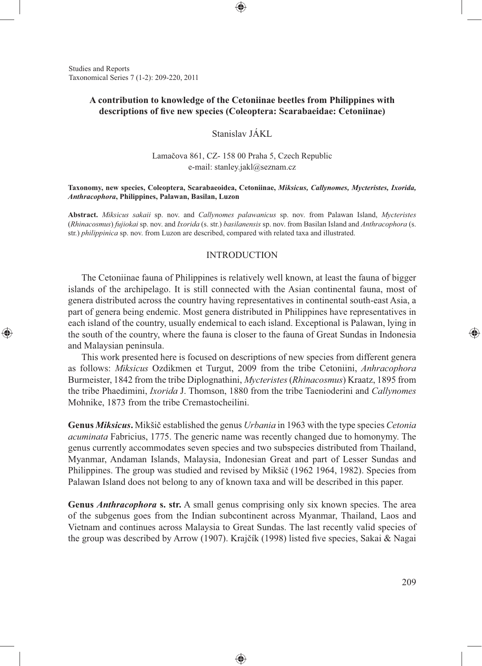Studies and Reports Taxonomical Series 7 (1-2): 209-220, 2011

⊕

# **A contribution to knowledge of the Cetoniinae beetles from Philippines with**  descriptions of five new species (Coleoptera: Scarabaeidae: Cetoniinae)

⊕

Stanislav JÁKL

Lamačova 861, CZ- 158 00 Praha 5, Czech Republic e-mail: stanley.jakl@seznam.cz

#### **Taxonomy, new species, Coleoptera, Scarabaeoidea, Cetoniinae,** *Miksicus, Callynomes, Mycteristes, Ixorida, Anthracophora***, Philippines, Palawan, Basilan, Luzon**

**Abstract.** *Miksicus sakaii* sp. nov. and *Callynomes palawanicus* sp. nov. from Palawan Island, *Mycteristes* (*Rhinacosmus*) *fujiokai* sp. nov. and *Ixorida* (s. str.) *basilanensis* sp. nov. from Basilan Island and *Anthracophora* (s. str.) *philippinica* sp. nov. from Luzon are described, compared with related taxa and illustrated.

#### INTRODUCTION

The Cetoniinae fauna of Philippines is relatively well known, at least the fauna of bigger islands of the archipelago. It is still connected with the Asian continental fauna, most of genera distributed across the country having representatives in continental south-east Asia, a part of genera being endemic. Most genera distributed in Philippines have representatives in each island of the country, usually endemical to each island. Exceptional is Palawan, lying in the south of the country, where the fauna is closer to the fauna of Great Sundas in Indonesia and Malaysian peninsula.

This work presented here is focused on descriptions of new species from different genera as follows: *Miksicus* Ozdikmen et Turgut, 2009 from the tribe Cetoniini, *Anhracophora* Burmeister, 1842 from the tribe Diplognathini, *Mycteristes* (*Rhinacosmus*) Kraatz, 1895 from the tribe Phaedimini, *Ixorida* J. Thomson, 1880 from the tribe Taenioderini and *Callynomes*  Mohnike, 1873 from the tribe Cremastocheilini.

**Genus** *Miksicus***.** Mikšič established the genus *Urbania* in 1963 with the type species *Cetonia acuminata* Fabricius, 1775. The generic name was recently changed due to homonymy. The genus currently accommodates seven species and two subspecies distributed from Thailand, Myanmar, Andaman Islands, Malaysia, Indonesian Great and part of Lesser Sundas and Philippines. The group was studied and revised by Mikšič (1962 1964, 1982). Species from Palawan Island does not belong to any of known taxa and will be described in this paper.

**Genus** *Anthracophora* **s. str.** A small genus comprising only six known species. The area of the subgenus goes from the Indian subcontinent across Myanmar, Thailand, Laos and Vietnam and continues across Malaysia to Great Sundas. The last recently valid species of the group was described by Arrow (1907). Krajčík (1998) listed five species, Sakai & Nagai

♠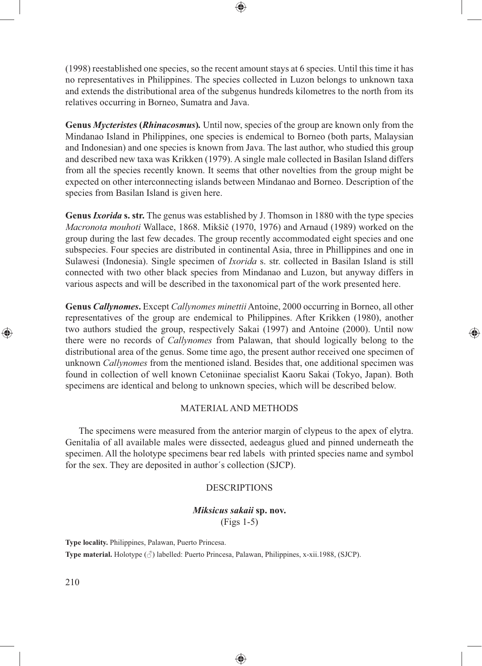(1998) reestablished one species, so the recent amount stays at 6 species. Until this time it has no representatives in Philippines. The species collected in Luzon belongs to unknown taxa and extends the distributional area of the subgenus hundreds kilometres to the north from its relatives occurring in Borneo, Sumatra and Java.

⊕

**Genus** *Mycteristes* **(***Rhinacosmus***)***.* Until now, species of the group are known only from the Mindanao Island in Philippines, one species is endemical to Borneo (both parts, Malaysian and Indonesian) and one species is known from Java. The last author, who studied this group and described new taxa was Krikken (1979). A single male collected in Basilan Island differs from all the species recently known. It seems that other novelties from the group might be expected on other interconnecting islands between Mindanao and Borneo. Description of the species from Basilan Island is given here.

**Genus** *Ixorida* **s. str.** The genus was established by J. Thomson in 1880 with the type species *Macronota mouhoti* Wallace, 1868. Mikšič (1970, 1976) and Arnaud (1989) worked on the group during the last few decades. The group recently accommodated eight species and one subspecies. Four species are distributed in continental Asia, three in Phillippines and one in Sulawesi (Indonesia). Single specimen of *Ixorida* s. str. collected in Basilan Island is still connected with two other black species from Mindanao and Luzon, but anyway differs in various aspects and will be described in the taxonomical part of the work presented here.

**Genus** *Callynomes***.** Except *Callynomes minettii* Antoine, 2000 occurring in Borneo, all other representatives of the group are endemical to Philippines. After Krikken (1980), another two authors studied the group, respectively Sakai (1997) and Antoine (2000). Until now there were no records of *Callynomes* from Palawan, that should logically belong to the distributional area of the genus. Some time ago, the present author received one specimen of unknown *Callynomes* from the mentioned island. Besides that, one additional specimen was found in collection of well known Cetoniinae specialist Kaoru Sakai (Tokyo, Japan). Both specimens are identical and belong to unknown species, which will be described below.

⊕

## MATERIAL AND METHODS

The specimens were measured from the anterior margin of clypeus to the apex of elytra. Genitalia of all available males were dissected, aedeagus glued and pinned underneath the specimen. All the holotype specimens bear red labels with printed species name and symbol for the sex. They are deposited in author´s collection (SJCP).

## DESCRIPTIONS

## *Miksicus sakaii* **sp. nov.** (Figs 1-5)

♠

**Type locality.** Philippines, Palawan, Puerto Princesa.

**Type material.** Holotype (♂) labelled: Puerto Princesa, Palawan, Philippines, x-xii.1988, (SJCP).

210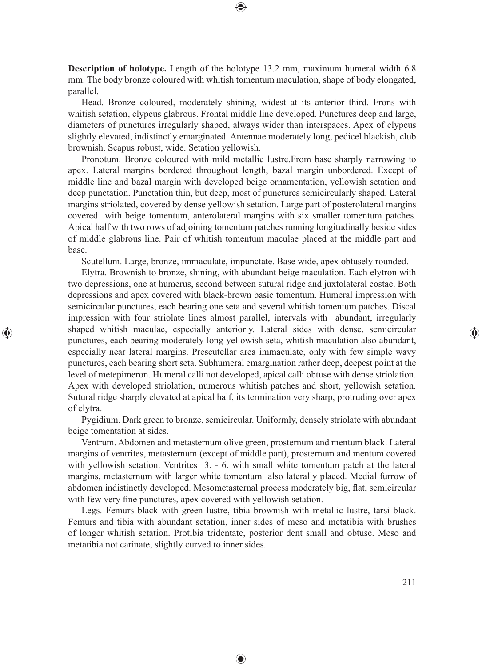**Description of holotype.** Length of the holotype 13.2 mm, maximum humeral width 6.8 mm. The body bronze coloured with whitish tomentum maculation, shape of body elongated, parallel.

⊕

Head. Bronze coloured, moderately shining, widest at its anterior third. Frons with whitish setation, clypeus glabrous. Frontal middle line developed. Punctures deep and large, diameters of punctures irregularly shaped, always wider than interspaces. Apex of clypeus slightly elevated, indistinctly emarginated. Antennae moderately long, pedicel blackish, club brownish. Scapus robust, wide. Setation yellowish.

Pronotum. Bronze coloured with mild metallic lustre.From base sharply narrowing to apex. Lateral margins bordered throughout length, bazal margin unbordered. Except of middle line and bazal margin with developed beige ornamentation, yellowish setation and deep punctation. Punctation thin, but deep, most of punctures semicircularly shaped. Lateral margins striolated, covered by dense yellowish setation. Large part of posterolateral margins covered with beige tomentum, anterolateral margins with six smaller tomentum patches. Apical half with two rows of adjoining tomentum patches running longitudinally beside sides of middle glabrous line. Pair of whitish tomentum maculae placed at the middle part and base.

Scutellum. Large, bronze, immaculate, impunctate. Base wide, apex obtusely rounded.

Elytra. Brownish to bronze, shining, with abundant beige maculation. Each elytron with two depressions, one at humerus, second between sutural ridge and juxtolateral costae. Both depressions and apex covered with black-brown basic tomentum. Humeral impression with semicircular punctures, each bearing one seta and several whitish tomentum patches. Discal impression with four striolate lines almost parallel, intervals with abundant, irregularly shaped whitish maculae, especially anteriorly. Lateral sides with dense, semicircular punctures, each bearing moderately long yellowish seta, whitish maculation also abundant, especially near lateral margins. Prescutellar area immaculate, only with few simple wavy punctures, each bearing short seta. Subhumeral emargination rather deep, deepest point at the level of metepimeron. Humeral calli not developed, apical calli obtuse with dense striolation. Apex with developed striolation, numerous whitish patches and short, yellowish setation. Sutural ridge sharply elevated at apical half, its termination very sharp, protruding over apex of elytra.

⊕

Pygidium. Dark green to bronze, semicircular. Uniformly, densely striolate with abundant beige tomentation at sides.

Ventrum. Abdomen and metasternum olive green, prosternum and mentum black. Lateral margins of ventrites, metasternum (except of middle part), prosternum and mentum covered with yellowish setation. Ventrites 3. - 6. with small white tomentum patch at the lateral margins, metasternum with larger white tomentum also laterally placed. Medial furrow of abdomen indistinctly developed. Mesometasternal process moderately big, flat, semicircular with few very fine punctures, apex covered with yellowish setation.

Legs. Femurs black with green lustre, tibia brownish with metallic lustre, tarsi black. Femurs and tibia with abundant setation, inner sides of meso and metatibia with brushes of longer whitish setation. Protibia tridentate, posterior dent small and obtuse. Meso and metatibia not carinate, slightly curved to inner sides.

♠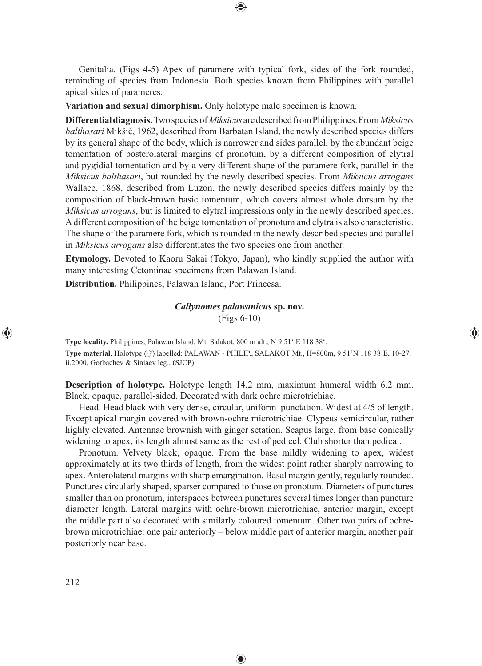Genitalia. (Figs 4-5) Apex of paramere with typical fork, sides of the fork rounded, reminding of species from Indonesia. Both species known from Philippines with parallel apical sides of parameres.

⊕

**Variation and sexual dimorphism.** Only holotype male specimen is known.

**Differential diagnosis.** Two species of *Miksicus* are described from Philippines. From *Miksicus balthasari* Mikšič, 1962, described from Barbatan Island, the newly described species differs by its general shape of the body, which is narrower and sides parallel, by the abundant beige tomentation of posterolateral margins of pronotum, by a different composition of elytral and pygidial tomentation and by a very different shape of the paramere fork, parallel in the *Miksicus balthasari*, but rounded by the newly described species. From *Miksicus arrogans* Wallace, 1868, described from Luzon, the newly described species differs mainly by the composition of black-brown basic tomentum, which covers almost whole dorsum by the *Miksicus arrogans*, but is limited to elytral impressions only in the newly described species. A different composition of the beige tomentation of pronotum and elytra is also characteristic. The shape of the paramere fork, which is rounded in the newly described species and parallel in *Miksicus arrogans* also differentiates the two species one from another.

**Etymology.** Devoted to Kaoru Sakai (Tokyo, Japan), who kindly supplied the author with many interesting Cetoniinae specimens from Palawan Island.

**Distribution.** Philippines, Palawan Island, Port Princesa.

*Callynomes palawanicus* **sp. nov.** (Figs 6-10)

⊕

**Type locality.** Philippines, Palawan Island, Mt. Salakot, 800 m alt., N 9 51' E 118 38'. **Type material**. Holotype (♂) labelled: PALAWAN - PHILIP., SALAKOT Mt., H=800m, 9 51'N 118 38'E, 10-27. ii.2000, Gorbachev & Siniaev leg., (SJCP).

**Description of holotype.** Holotype length 14.2 mm, maximum humeral width 6.2 mm. Black, opaque, parallel-sided. Decorated with dark ochre microtrichiae.

Head. Head black with very dense, circular, uniform punctation. Widest at 4/5 of length. Except apical margin covered with brown-ochre microtrichiae. Clypeus semicircular, rather highly elevated. Antennae brownish with ginger setation. Scapus large, from base conically widening to apex, its length almost same as the rest of pedicel. Club shorter than pedical.

Pronotum. Velvety black, opaque. From the base mildly widening to apex, widest approximately at its two thirds of length, from the widest point rather sharply narrowing to apex. Anterolateral margins with sharp emargination. Basal margin gently, regularly rounded. Punctures circularly shaped, sparser compared to those on pronotum. Diameters of punctures smaller than on pronotum, interspaces between punctures several times longer than puncture diameter length. Lateral margins with ochre-brown microtrichiae, anterior margin, except the middle part also decorated with similarly coloured tomentum. Other two pairs of ochrebrown microtrichiae: one pair anteriorly – below middle part of anterior margin, another pair posteriorly near base.

◈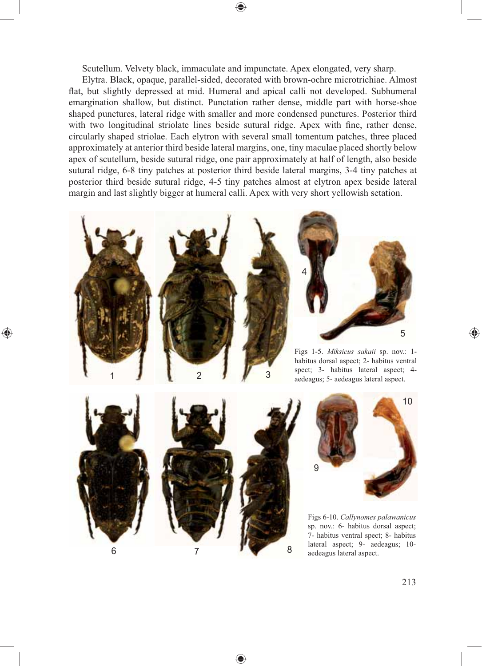Scutellum. Velvety black, immaculate and impunctate. Apex elongated, very sharp.

Elytra. Black, opaque, parallel-sided, decorated with brown-ochre microtrichiae. Almost flat, but slightly depressed at mid. Humeral and apical calli not developed. Subhumeral emargination shallow, but distinct. Punctation rather dense, middle part with horse-shoe shaped punctures, lateral ridge with smaller and more condensed punctures. Posterior third with two longitudinal striolate lines beside sutural ridge. Apex with fine, rather dense, circularly shaped striolae. Each elytron with several small tomentum patches, three placed approximately at anterior third beside lateral margins, one, tiny maculae placed shortly below apex of scutellum, beside sutural ridge, one pair approximately at half of length, also beside sutural ridge, 6-8 tiny patches at posterior third beside lateral margins, 3-4 tiny patches at posterior third beside sutural ridge, 4-5 tiny patches almost at elytron apex beside lateral margin and last slightly bigger at humeral calli. Apex with very short yellowish setation.





Figs 1-5. *Miksicus sakaii* sp. nov.: 1 habitus dorsal aspect; 2- habitus ventral spect; 3- habitus lateral aspect; 4-<br>aedeagus; 5- aedeagus lateral aspect.



⊕



Figs 6-10. *Callynomes palawanicus*  sp. nov.: 6- habitus dorsal aspect; 7- habitus ventral spect; 8- habitus lateral aspect; 9- aedeagus; 10 aedeagus lateral aspect.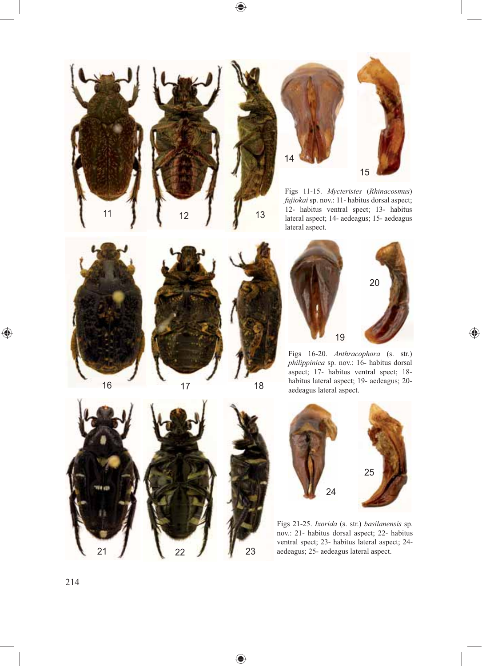$\bigoplus$ 







Figs 11-15. *Mycteristes* (*Rhinacosmus*) *fujiokai* sp. nov.: 11- habitus dorsal aspect; 12- habitus ventral spect; 13- habitus lateral aspect; 14- aedeagus; 15- aedeagus lateral aspect.



 $\bigoplus$ 





13



 $\bigoplus$ 

Figs 16-20. *Anthracophora* (s. str.) *philippinica* sp. nov.: 16- habitus dorsal aspect; 17- habitus ventral spect; 18 habitus lateral aspect; 19- aedeagus; 20 aedeagus lateral aspect.





◈



Figs 21-25. *Ixorida* (s. str.) *basilanensis* sp. nov.: 21- habitus dorsal aspect; 22- habitus ventral spect; 23- habitus lateral aspect; 24 aedeagus; 25- aedeagus lateral aspect.

214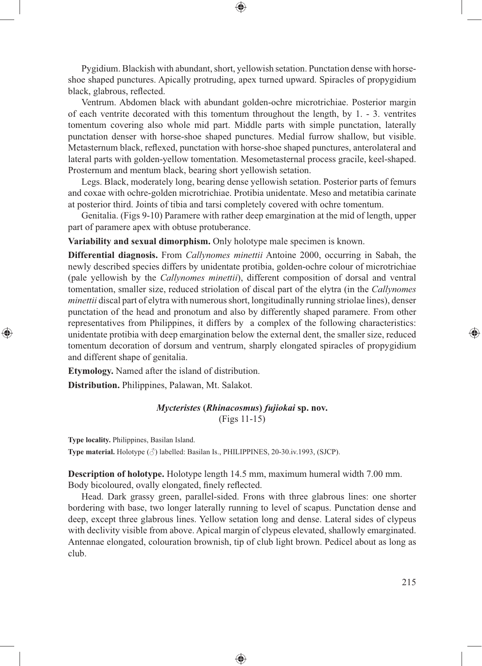Pygidium. Blackish with abundant, short, yellowish setation. Punctation dense with horseshoe shaped punctures. Apically protruding, apex turned upward. Spiracles of propygidium black, glabrous, reflected.

⊕

Ventrum. Abdomen black with abundant golden-ochre microtrichiae. Posterior margin of each ventrite decorated with this tomentum throughout the length, by 1. - 3. ventrites tomentum covering also whole mid part. Middle parts with simple punctation, laterally punctation denser with horse-shoe shaped punctures. Medial furrow shallow, but visible. Metasternum black, reflexed, punctation with horse-shoe shaped punctures, anterolateral and lateral parts with golden-yellow tomentation. Mesometasternal process gracile, keel-shaped. Prosternum and mentum black, bearing short yellowish setation.

Legs. Black, moderately long, bearing dense yellowish setation. Posterior parts of femurs and coxae with ochre-golden microtrichiae. Protibia unidentate. Meso and metatibia carinate at posterior third. Joints of tibia and tarsi completely covered with ochre tomentum.

Genitalia. (Figs 9-10) Paramere with rather deep emargination at the mid of length, upper part of paramere apex with obtuse protuberance.

**Variability and sexual dimorphism.** Only holotype male specimen is known.

**Differential diagnosis.** From *Callynomes minettii* Antoine 2000, occurring in Sabah, the newly described species differs by unidentate protibia, golden-ochre colour of microtrichiae (pale yellowish by the *Callynomes minettii*), different composition of dorsal and ventral tomentation, smaller size, reduced striolation of discal part of the elytra (in the *Callynomes minettii* discal part of elytra with numerous short, longitudinally running striolae lines), denser punctation of the head and pronotum and also by differently shaped paramere. From other representatives from Philippines, it differs by a complex of the following characteristics: unidentate protibia with deep emargination below the external dent, the smaller size, reduced tomentum decoration of dorsum and ventrum, sharply elongated spiracles of propygidium and different shape of genitalia.

**Etymology.** Named after the island of distribution.

**Distribution.** Philippines, Palawan, Mt. Salakot.

*Mycteristes* **(***Rhinacosmus***)** *fujiokai* **sp. nov.** (Figs 11-15)

**Type locality.** Philippines, Basilan Island.

⊕

**Type material.** Holotype (♂) labelled: Basilan Is., PHILIPPINES, 20-30.iv.1993, (SJCP).

**Description of holotype.** Holotype length 14.5 mm, maximum humeral width 7.00 mm. Body bicoloured, ovally elongated, finely reflected.

Head. Dark grassy green, parallel-sided. Frons with three glabrous lines: one shorter bordering with base, two longer laterally running to level of scapus. Punctation dense and deep, except three glabrous lines. Yellow setation long and dense. Lateral sides of clypeus with declivity visible from above. Apical margin of clypeus elevated, shallowly emarginated. Antennae elongated, colouration brownish, tip of club light brown. Pedicel about as long as club.

♠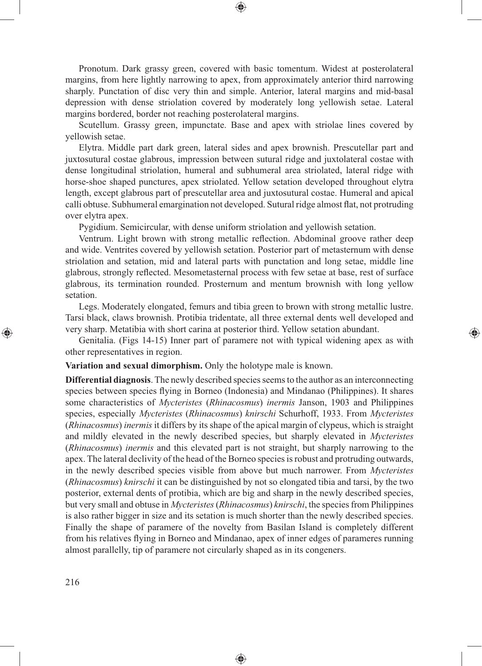Pronotum. Dark grassy green, covered with basic tomentum. Widest at posterolateral margins, from here lightly narrowing to apex, from approximately anterior third narrowing sharply. Punctation of disc very thin and simple. Anterior, lateral margins and mid-basal depression with dense striolation covered by moderately long yellowish setae. Lateral margins bordered, border not reaching posterolateral margins.

⊕

Scutellum. Grassy green, impunctate. Base and apex with striolae lines covered by yellowish setae.

Elytra. Middle part dark green, lateral sides and apex brownish. Prescutellar part and juxtosutural costae glabrous, impression between sutural ridge and juxtolateral costae with dense longitudinal striolation, humeral and subhumeral area striolated, lateral ridge with horse-shoe shaped punctures, apex striolated. Yellow setation developed throughout elytra length, except glabrous part of prescutellar area and juxtosutural costae. Humeral and apical calli obtuse. Subhumeral emargination not developed. Sutural ridge almost flat, not protruding over elytra apex.

Pygidium. Semicircular, with dense uniform striolation and yellowish setation.

Ventrum. Light brown with strong metallic reflection. Abdominal groove rather deep and wide. Ventrites covered by yellowish setation. Posterior part of metasternum with dense striolation and setation, mid and lateral parts with punctation and long setae, middle line glabrous, strongly reflected. Mesometasternal process with few setae at base, rest of surface glabrous, its termination rounded. Prosternum and mentum brownish with long yellow setation.

Legs. Moderately elongated, femurs and tibia green to brown with strong metallic lustre. Tarsi black, claws brownish. Protibia tridentate, all three external dents well developed and very sharp. Metatibia with short carina at posterior third. Yellow setation abundant.

⊕

Genitalia. (Figs 14-15) Inner part of paramere not with typical widening apex as with other representatives in region.

**Variation and sexual dimorphism.** Only the holotype male is known.

**Differential diagnosis**. The newly described species seems to the author as an interconnecting species between species flying in Borneo (Indonesia) and Mindanao (Philippines). It shares some characteristics of *Mycteristes* (*Rhinacosmus*) *inermis* Janson, 1903 and Philippines species, especially *Mycteristes* (*Rhinacosmus*) *knirschi* Schurhoff, 1933. From *Mycteristes* (*Rhinacosmus*) *inermis* it differs by its shape of the apical margin of clypeus, which is straight and mildly elevated in the newly described species, but sharply elevated in *Mycteristes* (*Rhinacosmus*) *inermis* and this elevated part is not straight, but sharply narrowing to the apex. The lateral declivity of the head of the Borneo species is robust and protruding outwards, in the newly described species visible from above but much narrower. From *Mycteristes* (*Rhinacosmus*) *knirschi* it can be distinguished by not so elongated tibia and tarsi, by the two posterior, external dents of protibia, which are big and sharp in the newly described species, but very small and obtuse in *Mycteristes* (*Rhinacosmus*) *knirschi*, the species from Philippines is also rather bigger in size and its setation is much shorter than the newly described species. Finally the shape of paramere of the novelty from Basilan Island is completely different from his relatives flying in Borneo and Mindanao, apex of inner edges of parameres running almost parallelly, tip of paramere not circularly shaped as in its congeners.

♠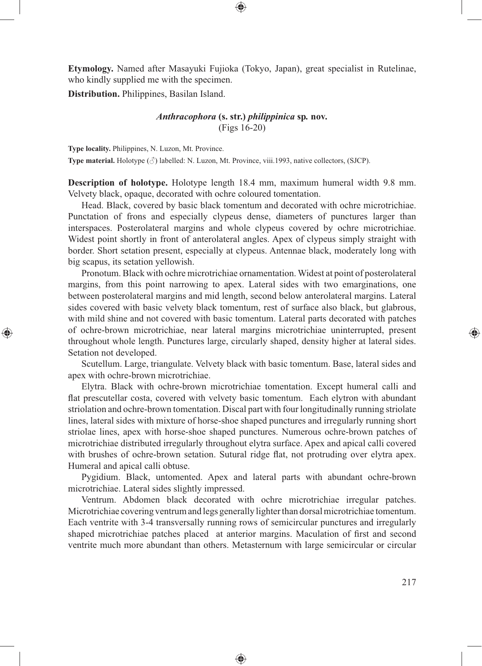**Etymology.** Named after Masayuki Fujioka (Tokyo, Japan), great specialist in Rutelinae, who kindly supplied me with the specimen.

⊕

**Distribution.** Philippines, Basilan Island.

⊕

# *Anthracophora* **(s. str.)** *philippinica* **sp***.* **nov***.* (Figs 16-20)

**Type locality.** Philippines, N. Luzon, Mt. Province. **Type material.** Holotype (♂) labelled: N. Luzon, Mt. Province, viii.1993, native collectors, (SJCP).

**Description of holotype.** Holotype length 18.4 mm, maximum humeral width 9.8 mm. Velvety black, opaque, decorated with ochre coloured tomentation.

Head. Black, covered by basic black tomentum and decorated with ochre microtrichiae. Punctation of frons and especially clypeus dense, diameters of punctures larger than interspaces. Posterolateral margins and whole clypeus covered by ochre microtrichiae. Widest point shortly in front of anterolateral angles. Apex of clypeus simply straight with border. Short setation present, especially at clypeus. Antennae black, moderately long with big scapus, its setation yellowish.

Pronotum. Black with ochre microtrichiae ornamentation. Widest at point of posterolateral margins, from this point narrowing to apex. Lateral sides with two emarginations, one between posterolateral margins and mid length, second below anterolateral margins. Lateral sides covered with basic velvety black tomentum, rest of surface also black, but glabrous, with mild shine and not covered with basic tomentum. Lateral parts decorated with patches of ochre-brown microtrichiae, near lateral margins microtrichiae uninterrupted, present throughout whole length. Punctures large, circularly shaped, density higher at lateral sides. Setation not developed.

Scutellum. Large, triangulate. Velvety black with basic tomentum. Base, lateral sides and apex with ochre-brown microtrichiae.

Elytra. Black with ochre-brown microtrichiae tomentation. Except humeral calli and flat prescutellar costa, covered with velvety basic tomentum. Each elytron with abundant striolation and ochre-brown tomentation. Discal part with four longitudinally running striolate lines, lateral sides with mixture of horse-shoe shaped punctures and irregularly running short striolae lines, apex with horse-shoe shaped punctures. Numerous ochre-brown patches of microtrichiae distributed irregularly throughout elytra surface. Apex and apical calli covered with brushes of ochre-brown setation. Sutural ridge flat, not protruding over elytra apex. Humeral and apical calli obtuse.

Pygidium. Black, untomented. Apex and lateral parts with abundant ochre-brown microtrichiae. Lateral sides slightly impressed.

Ventrum. Abdomen black decorated with ochre microtrichiae irregular patches. Microtrichiae covering ventrum and legs generally lighter than dorsal microtrichiae tomentum. Each ventrite with 3-4 transversally running rows of semicircular punctures and irregularly shaped microtrichiae patches placed at anterior margins. Maculation of first and second ventrite much more abundant than others. Metasternum with large semicircular or circular

◈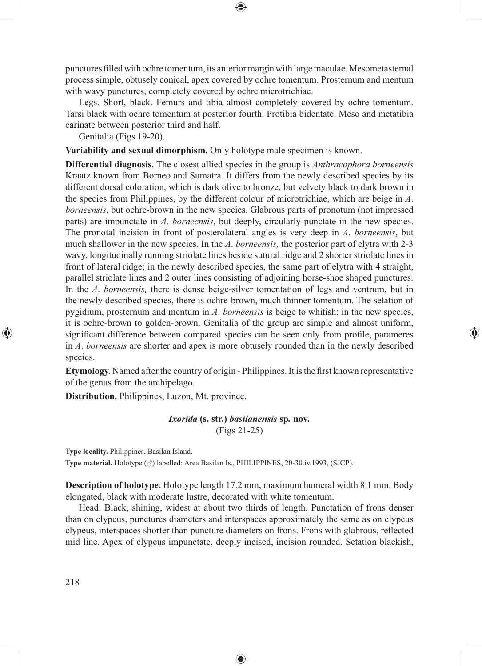punctures fi lled with ochre tomentum, its anterior margin with large maculae. Mesometasternal process simple, obtusely conical, apex covered by ochre tomentum. Prosternum and mentum with wavy punctures, completely covered by ochre microtrichiae.

⊕

Legs. Short, black. Femurs and tibia almost completely covered by ochre tomentum. Tarsi black with ochre tomentum at posterior fourth. Protibia bidentate. Meso and metatibia carinate between posterior third and half.

Genitalia (Figs 19-20).

**Variability and sexual dimorphism.** Only holotype male specimen is known.

**Differential diagnosis**. The closest allied species in the group is *Anthracophora borneensis* Kraatz known from Borneo and Sumatra. It differs from the newly described species by its different dorsal coloration, which is dark olive to bronze, but velvety black to dark brown in the species from Philippines, by the different colour of microtrichiae, which are beige in *A*. *borneensis*, but ochre-brown in the new species. Glabrous parts of pronotum (not impressed parts) are impunctate in *A*. *borneensis*, but deeply, circularly punctate in the new species. The pronotal incision in front of posterolateral angles is very deep in *A*. *borneensis*, but much shallower in the new species. In the *A*. *borneensis,* the posterior part of elytra with 2-3 wavy, longitudinally running striolate lines beside sutural ridge and 2 shorter striolate lines in front of lateral ridge; in the newly described species, the same part of elytra with 4 straight, parallel striolate lines and 2 outer lines consisting of adjoining horse-shoe shaped punctures. In the *A*. *borneensis,* there is dense beige-silver tomentation of legs and ventrum, but in the newly described species, there is ochre-brown, much thinner tomentum. The setation of pygidium, prosternum and mentum in *A*. *borneensis* is beige to whitish; in the new species, it is ochre-brown to golden-brown. Genitalia of the group are simple and almost uniform, significant difference between compared species can be seen only from profile, parameres in *A*. *borneensis* are shorter and apex is more obtusely rounded than in the newly described species.

**Etymology.** Named after the country of origin - Philippines. It is the first known representative of the genus from the archipelago.

⊕

**Distribution.** Philippines, Luzon, Mt. province.

*Ixorida* **(s. str.)** *basilanensis* **sp***.* **nov***.* (Figs 21-25)

**Type locality.** Philippines, Basilan Island.

**Type material.** Holotype (♂) labelled: Area Basilan Is., PHILIPPINES, 20-30.iv.1993, (SJCP).

**Description of holotype.** Holotype length 17.2 mm, maximum humeral width 8.1 mm. Body elongated, black with moderate lustre, decorated with white tomentum.

Head. Black, shining, widest at about two thirds of length. Punctation of frons denser than on clypeus, punctures diameters and interspaces approximately the same as on clypeus clypeus, interspaces shorter than puncture diameters on frons. Frons with glabrous, reflected mid line. Apex of clypeus impunctate, deeply incised, incision rounded. Setation blackish,

◈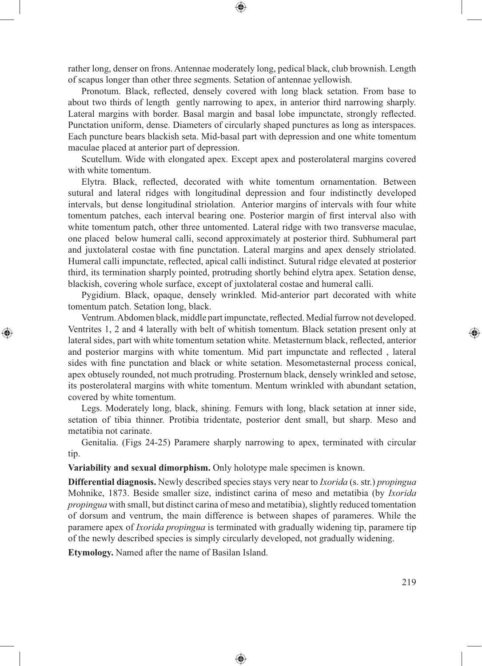rather long, denser on frons. Antennae moderately long, pedical black, club brownish. Length of scapus longer than other three segments. Setation of antennae yellowish.

⊕

Pronotum. Black, reflected, densely covered with long black setation. From base to about two thirds of length gently narrowing to apex, in anterior third narrowing sharply. Lateral margins with border. Basal margin and basal lobe impunctate, strongly reflected. Punctation uniform, dense. Diameters of circularly shaped punctures as long as interspaces. Each puncture bears blackish seta. Mid-basal part with depression and one white tomentum maculae placed at anterior part of depression.

Scutellum. Wide with elongated apex. Except apex and posterolateral margins covered with white tomentum.

Elytra. Black, reflected, decorated with white tomentum ornamentation. Between sutural and lateral ridges with longitudinal depression and four indistinctly developed intervals, but dense longitudinal striolation. Anterior margins of intervals with four white tomentum patches, each interval bearing one. Posterior margin of first interval also with white tomentum patch, other three untomented. Lateral ridge with two transverse maculae, one placed below humeral calli, second approximately at posterior third. Subhumeral part and juxtolateral costae with fine punctation. Lateral margins and apex densely striolated. Humeral calli impunctate, reflected, apical calli indistinct. Sutural ridge elevated at posterior third, its termination sharply pointed, protruding shortly behind elytra apex. Setation dense, blackish, covering whole surface, except of juxtolateral costae and humeral calli.

Pygidium. Black, opaque, densely wrinkled. Mid-anterior part decorated with white tomentum patch. Setation long, black.

Ventrum. Abdomen black, middle part impunctate, reflected. Medial furrow not developed. Ventrites 1, 2 and 4 laterally with belt of whitish tomentum. Black setation present only at lateral sides, part with white tomentum setation white. Metasternum black, reflected, anterior and posterior margins with white tomentum. Mid part impunctate and reflected, lateral sides with fine punctation and black or white setation. Mesometasternal process conical, apex obtusely rounded, not much protruding. Prosternum black, densely wrinkled and setose, its posterolateral margins with white tomentum. Mentum wrinkled with abundant setation, covered by white tomentum.

Legs. Moderately long, black, shining. Femurs with long, black setation at inner side, setation of tibia thinner. Protibia tridentate, posterior dent small, but sharp. Meso and metatibia not carinate.

Genitalia. (Figs 24-25) Paramere sharply narrowing to apex, terminated with circular tip.

**Variability and sexual dimorphism.** Only holotype male specimen is known.

**Differential diagnosis.** Newly described species stays very near to *Ixorida* (s. str.) *propingua*  Mohnike, 1873. Beside smaller size, indistinct carina of meso and metatibia (by *Ixorida propingua* with small, but distinct carina of meso and metatibia), slightly reduced tomentation of dorsum and ventrum, the main difference is between shapes of parameres. While the paramere apex of *Ixorida propingua* is terminated with gradually widening tip, paramere tip of the newly described species is simply circularly developed, not gradually widening.

◈

**Etymology.** Named after the name of Basilan Island.

⊕